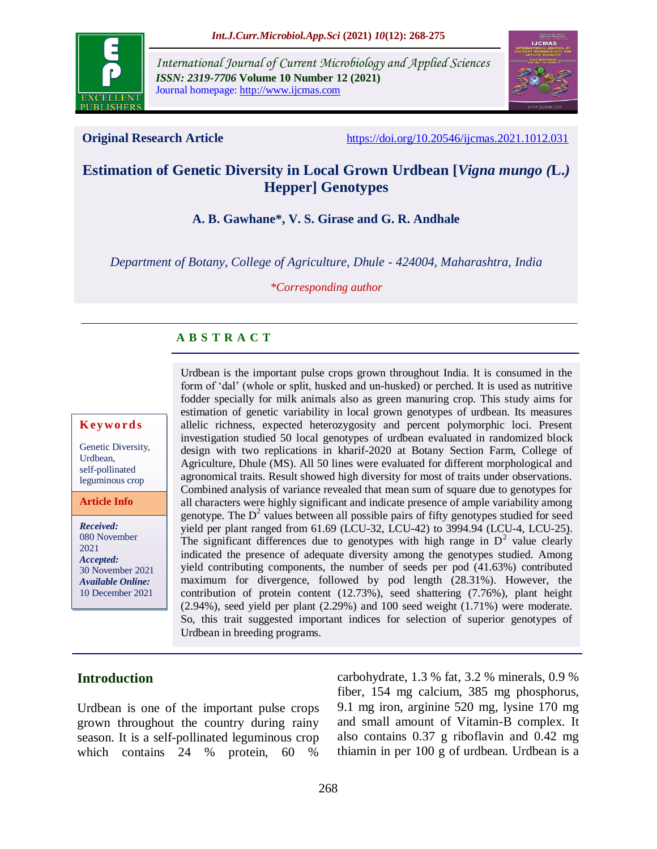

*International Journal of Current Microbiology and Applied Sciences ISSN: 2319-7706* **Volume 10 Number 12 (2021)**  Journal homepage: http://www.ijcmas.com



**Original Research Article** <https://doi.org/10.20546/ijcmas.2021.1012.031>

# **Estimation of Genetic Diversity in Local Grown Urdbean [***Vigna mungo (***L.***)* **Hepper] Genotypes**

#### **A. B. Gawhane\*, V. S. Girase and G. R. Andhale**

*Department of Botany, College of Agriculture, Dhule - 424004, Maharashtra, India*

*\*Corresponding author*

#### **A B S T R A C T**

#### **K ey w o rd s**

Genetic Diversity, Urdbean, self-pollinated leguminous crop

**Article Info**

*Received:*  080 November 2021 *Accepted:*  30 November 2021 *Available Online:* 10 December 2021

Urdbean is the important pulse crops grown throughout India. It is consumed in the form of 'dal' (whole or split, husked and un-husked) or perched. It is used as nutritive fodder specially for milk animals also as green manuring crop. This study aims for estimation of genetic variability in local grown genotypes of urdbean. Its measures allelic richness, expected heterozygosity and percent polymorphic loci. Present investigation studied 50 local genotypes of urdbean evaluated in randomized block design with two replications in kharif-2020 at Botany Section Farm, College of Agriculture, Dhule (MS). All 50 lines were evaluated for different morphological and agronomical traits. Result showed high diversity for most of traits under observations. Combined analysis of variance revealed that mean sum of square due to genotypes for all characters were highly significant and indicate presence of ample variability among genotype. The  $D<sup>2</sup>$  values between all possible pairs of fifty genotypes studied for seed yield per plant ranged from 61.69 (LCU-32, LCU-42) to 3994.94 (LCU-4, LCU-25). The significant differences due to genotypes with high range in  $D^2$  value clearly indicated the presence of adequate diversity among the genotypes studied. Among yield contributing components, the number of seeds per pod (41.63%) contributed maximum for divergence, followed by pod length (28.31%). However, the contribution of protein content (12.73%), seed shattering (7.76%), plant height (2.94%), seed yield per plant (2.29%) and 100 seed weight (1.71%) were moderate. So, this trait suggested important indices for selection of superior genotypes of Urdbean in breeding programs.

#### **Introduction**

Urdbean is one of the important pulse crops grown throughout the country during rainy season. It is a self-pollinated leguminous crop which contains 24 % protein, 60 %

carbohydrate, 1.3 % fat, 3.2 % minerals, 0.9 % fiber, 154 mg calcium, 385 mg phosphorus, 9.1 mg iron, arginine 520 mg, lysine 170 mg and small amount of Vitamin-B complex. It also contains 0.37 g riboflavin and 0.42 mg thiamin in per 100 g of urdbean. Urdbean is a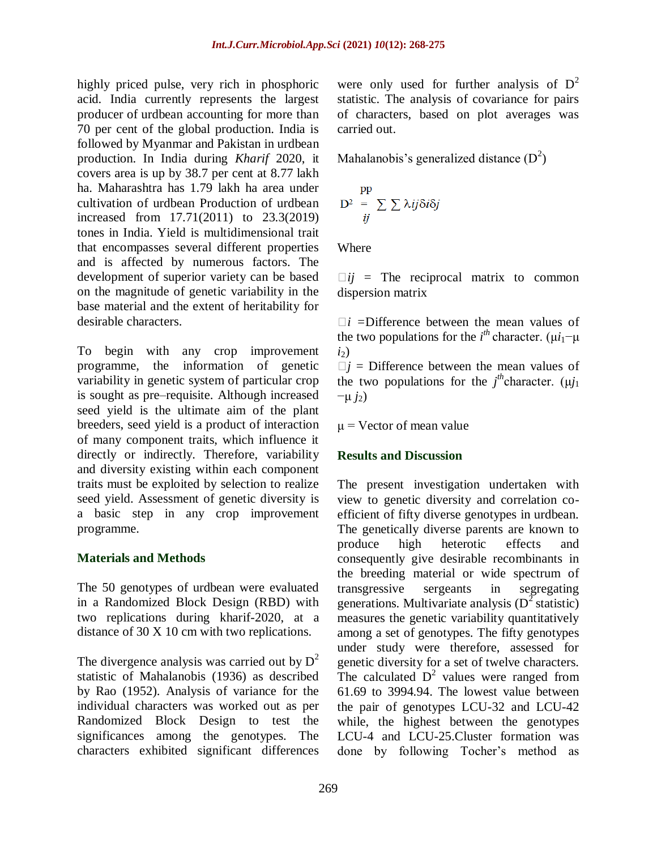highly priced pulse, very rich in phosphoric acid. India currently represents the largest producer of urdbean accounting for more than 70 per cent of the global production. India is followed by Myanmar and Pakistan in urdbean production. In India during *Kharif* 2020, it covers area is up by 38.7 per cent at 8.77 lakh ha. Maharashtra has 1.79 lakh ha area under cultivation of urdbean Production of urdbean increased from 17.71(2011) to 23.3(2019) tones in India. Yield is multidimensional trait that encompasses several different properties and is affected by numerous factors. The development of superior variety can be based on the magnitude of genetic variability in the base material and the extent of heritability for desirable characters.

To begin with any crop improvement programme, the information of genetic variability in genetic system of particular crop is sought as pre–requisite. Although increased seed yield is the ultimate aim of the plant breeders, seed yield is a product of interaction of many component traits, which influence it directly or indirectly. Therefore, variability and diversity existing within each component traits must be exploited by selection to realize seed yield. Assessment of genetic diversity is a basic step in any crop improvement programme.

#### **Materials and Methods**

The 50 genotypes of urdbean were evaluated in a Randomized Block Design (RBD) with two replications during kharif-2020, at a distance of 30 X 10 cm with two replications.

The divergence analysis was carried out by  $D^2$ statistic of Mahalanobis (1936) as described by Rao (1952). Analysis of variance for the individual characters was worked out as per Randomized Block Design to test the significances among the genotypes. The characters exhibited significant differences

were only used for further analysis of  $D^2$ statistic. The analysis of covariance for pairs of characters, based on plot averages was carried out.

Mahalanobis's generalized distance  $(D^2)$ 

$$
D^2 = \sum_{ii} \sum \lambda ij \delta i \delta j
$$

Where

 $\Box i j$  = The reciprocal matrix to common dispersion matrix

*i =*Difference between the mean values of the two populations for the  $i<sup>th</sup>$  character. ( $\mu i_1$ – $\mu$ *i*2)

 $j =$  Difference between the mean values of the two populations for the  $j<sup>th</sup>$ character. ( $\mu j_1$  $-\mu$  *j*<sub>2</sub>)

 $\mu$  = Vector of mean value

#### **Results and Discussion**

The present investigation undertaken with view to genetic diversity and correlation coefficient of fifty diverse genotypes in urdbean. The genetically diverse parents are known to produce high heterotic effects and consequently give desirable recombinants in the breeding material or wide spectrum of transgressive sergeants in segregating generations. Multivariate analysis  $(D^2 \text{ statistic})$ measures the genetic variability quantitatively among a set of genotypes. The fifty genotypes under study were therefore, assessed for genetic diversity for a set of twelve characters. The calculated  $D^2$  values were ranged from 61.69 to 3994.94. The lowest value between the pair of genotypes LCU-32 and LCU-42 while, the highest between the genotypes LCU-4 and LCU-25.Cluster formation was done by following Tocher's method as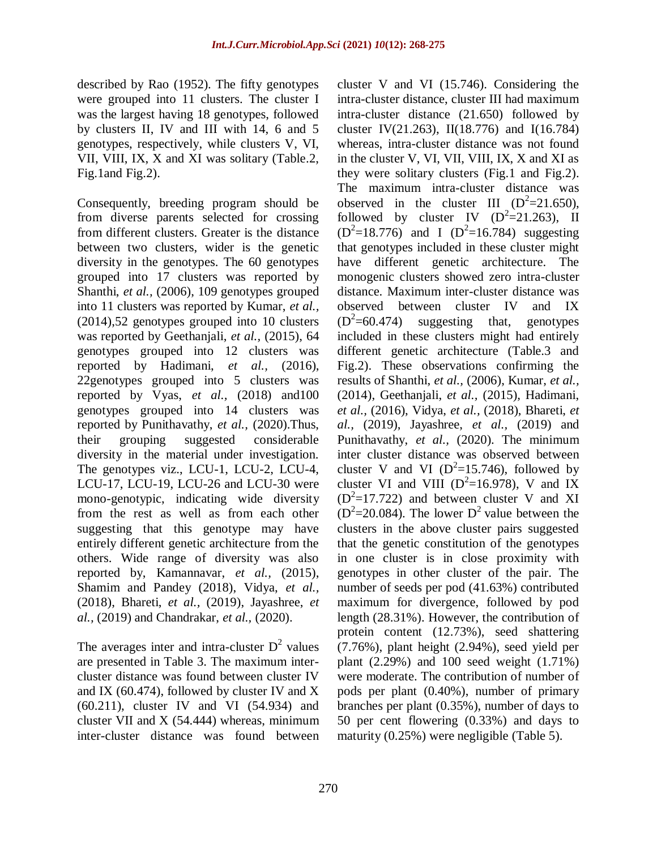described by Rao (1952). The fifty genotypes were grouped into 11 clusters. The cluster I was the largest having 18 genotypes, followed by clusters II, IV and III with 14, 6 and 5 genotypes, respectively, while clusters V, VI, VII, VIII, IX, X and XI was solitary (Table.2, Fig.1and Fig.2).

Consequently, breeding program should be from diverse parents selected for crossing from different clusters. Greater is the distance between two clusters, wider is the genetic diversity in the genotypes. The 60 genotypes grouped into 17 clusters was reported by Shanthi, *et al.,* (2006), 109 genotypes grouped into 11 clusters was reported by Kumar, *et al.,* (2014),52 genotypes grouped into 10 clusters was reported by Geethanjali, *et al.,* (2015), 64 genotypes grouped into 12 clusters was reported by Hadimani, *et al.,* (2016), 22genotypes grouped into 5 clusters was reported by Vyas, *et al.,* (2018) and100 genotypes grouped into 14 clusters was reported by Punithavathy, *et al.,* (2020).Thus, their grouping suggested considerable diversity in the material under investigation. The genotypes viz., LCU-1, LCU-2, LCU-4, LCU-17, LCU-19, LCU-26 and LCU-30 were mono-genotypic, indicating wide diversity from the rest as well as from each other suggesting that this genotype may have entirely different genetic architecture from the others. Wide range of diversity was also reported by, Kamannavar, *et al.,* (2015), Shamim and Pandey (2018), Vidya, *et al.,* (2018), Bhareti, *et al.,* (2019), Jayashree, *et al.,* (2019) and Chandrakar, *et al.,* (2020).

The averages inter and intra-cluster  $D^2$  values are presented in Table 3. The maximum intercluster distance was found between cluster IV and IX (60.474), followed by cluster IV and X (60.211), cluster IV and VI (54.934) and cluster VII and X (54.444) whereas, minimum inter-cluster distance was found between cluster V and VI (15.746). Considering the intra-cluster distance, cluster III had maximum intra-cluster distance (21.650) followed by cluster IV(21.263), II(18.776) and I(16.784) whereas, intra-cluster distance was not found in the cluster V, VI, VII, VIII, IX, X and XI as they were solitary clusters (Fig.1 and Fig.2). The maximum intra-cluster distance was observed in the cluster III  $(D^2=21.650)$ , followed by cluster IV  $(D^2=21.263)$ , II  $(D^2=18.776)$  and I  $(D^2=16.784)$  suggesting that genotypes included in these cluster might have different genetic architecture. The monogenic clusters showed zero intra-cluster distance. Maximum inter-cluster distance was observed between cluster IV and IX  $(D^2=60.474)$ suggesting that, genotypes included in these clusters might had entirely different genetic architecture (Table.3 and Fig.2). These observations confirming the results of Shanthi, *et al.,* (2006), Kumar, *et al.,* (2014), Geethanjali, *et al.,* (2015), Hadimani, *et al.,* (2016), Vidya, *et al.,* (2018), Bhareti, *et al.,* (2019), Jayashree, *et al.,* (2019) and Punithavathy, *et al.,* (2020). The minimum inter cluster distance was observed between cluster V and VI ( $D^2$ =15.746), followed by cluster VI and VIII ( $D^2$ =16.978), V and IX  $(D^2=17.722)$  and between cluster V and XI  $(D^2=20.084)$ . The lower  $D^2$  value between the clusters in the above cluster pairs suggested that the genetic constitution of the genotypes in one cluster is in close proximity with genotypes in other cluster of the pair. The number of seeds per pod (41.63%) contributed maximum for divergence, followed by pod length (28.31%). However, the contribution of protein content (12.73%), seed shattering (7.76%), plant height (2.94%), seed yield per plant (2.29%) and 100 seed weight (1.71%) were moderate. The contribution of number of pods per plant (0.40%), number of primary branches per plant (0.35%), number of days to 50 per cent flowering (0.33%) and days to maturity (0.25%) were negligible (Table 5).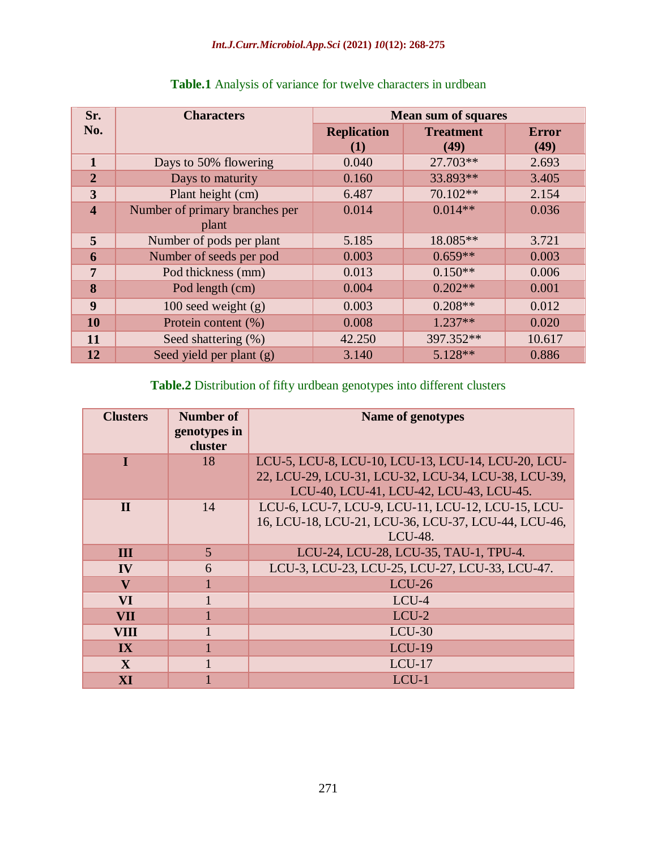| Sr.                     | <b>Characters</b>              | <b>Mean sum of squares</b> |                  |              |  |  |  |  |
|-------------------------|--------------------------------|----------------------------|------------------|--------------|--|--|--|--|
| No.                     |                                | <b>Replication</b>         | <b>Treatment</b> | <b>Error</b> |  |  |  |  |
|                         |                                | (1)                        | (49)             | (49)         |  |  |  |  |
| $\mathbf{1}$            | Days to 50% flowering          | 0.040                      | 27.703**         | 2.693        |  |  |  |  |
| $\overline{2}$          | Days to maturity               | 0.160                      | 33.893**         | 3.405        |  |  |  |  |
| 3                       | Plant height (cm)              | 6.487                      | 70.102**         | 2.154        |  |  |  |  |
| $\overline{\mathbf{4}}$ | Number of primary branches per | 0.014                      | $0.014**$        | 0.036        |  |  |  |  |
|                         | plant                          |                            |                  |              |  |  |  |  |
| 5                       | Number of pods per plant       | 5.185                      | 18.085**         | 3.721        |  |  |  |  |
| 6                       | Number of seeds per pod        | 0.003                      | $0.659**$        | 0.003        |  |  |  |  |
| $\overline{7}$          | Pod thickness (mm)             | 0.013                      | $0.150**$        | 0.006        |  |  |  |  |
| 8                       | Pod length (cm)                | 0.004                      | $0.202**$        | 0.001        |  |  |  |  |
| $\boldsymbol{9}$        | $100$ seed weight $(g)$        | 0.003                      | $0.208**$        | 0.012        |  |  |  |  |
| 10                      | Protein content (%)            | 0.008                      | $1.237**$        | 0.020        |  |  |  |  |
| 11                      | Seed shattering (%)            | 42.250                     | 397.352**        | 10.617       |  |  |  |  |
| 12                      | Seed yield per plant (g)       | 3.140                      | $5.128**$        | 0.886        |  |  |  |  |

## **Table.1** Analysis of variance for twelve characters in urdbean

# **Table.2** Distribution of fifty urdbean genotypes into different clusters

| <b>Clusters</b>         | <b>Number of</b><br>genotypes in<br>cluster | <b>Name of genotypes</b>                                                                                                                             |  |  |
|-------------------------|---------------------------------------------|------------------------------------------------------------------------------------------------------------------------------------------------------|--|--|
| Т                       | 18                                          | LCU-5, LCU-8, LCU-10, LCU-13, LCU-14, LCU-20, LCU-<br>22, LCU-29, LCU-31, LCU-32, LCU-34, LCU-38, LCU-39,<br>LCU-40, LCU-41, LCU-42, LCU-43, LCU-45. |  |  |
| $\mathbf{I}$            | 14                                          | LCU-6, LCU-7, LCU-9, LCU-11, LCU-12, LCU-15, LCU-<br>16, LCU-18, LCU-21, LCU-36, LCU-37, LCU-44, LCU-46,<br>LCU-48.                                  |  |  |
| <b>III</b>              | 5                                           | LCU-24, LCU-28, LCU-35, TAU-1, TPU-4.                                                                                                                |  |  |
| IV                      | 6                                           | LCU-3, LCU-23, LCU-25, LCU-27, LCU-33, LCU-47.                                                                                                       |  |  |
| $\overline{\mathbf{V}}$ |                                             | $LCU-26$                                                                                                                                             |  |  |
| <b>VI</b>               |                                             | LCU-4                                                                                                                                                |  |  |
| <b>VII</b>              |                                             | $LCU-2$                                                                                                                                              |  |  |
| <b>VIII</b>             |                                             | $LCU-30$                                                                                                                                             |  |  |
| IX                      |                                             | $LCU-19$                                                                                                                                             |  |  |
| $\mathbf{X}$            |                                             | $LCU-17$                                                                                                                                             |  |  |
| XI                      |                                             | LCU-1                                                                                                                                                |  |  |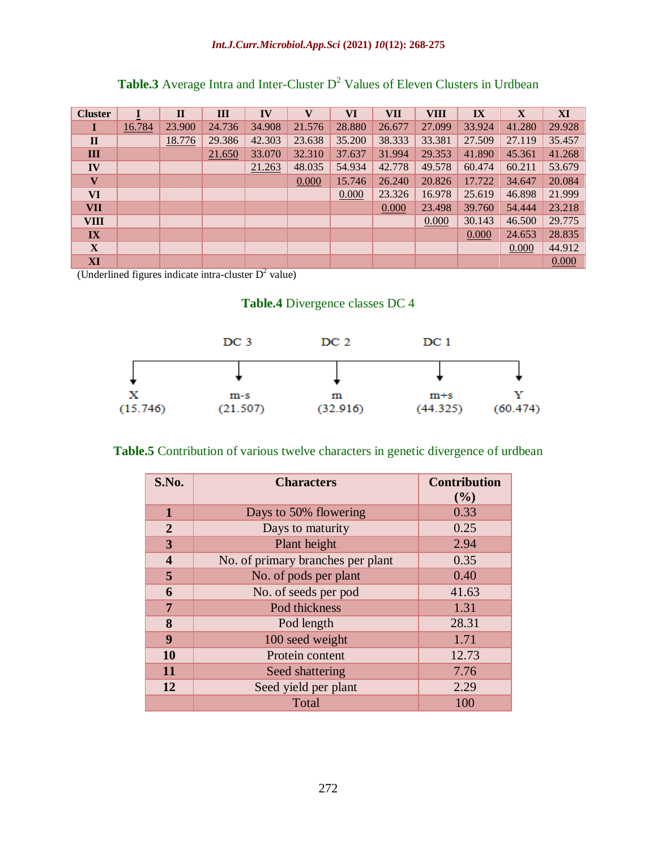|  |  |  | <b>Table.3</b> Average Intra and Inter-Cluster $D^2$ Values of Eleven Clusters in Urdbean |  |  |
|--|--|--|-------------------------------------------------------------------------------------------|--|--|
|  |  |  |                                                                                           |  |  |

| <b>Cluster</b>          |        | $\mathbf{I}$ | Ш      | IV     | $\mathbf{V}$ | VI     | <b>VII</b> | <b>VIII</b> | IX     | X      | XI     |
|-------------------------|--------|--------------|--------|--------|--------------|--------|------------|-------------|--------|--------|--------|
|                         | 16.784 | 23.900       | 24.736 | 34.908 | 21.576       | 28.880 | 26.677     | 27.099      | 33.924 | 41.280 | 29.928 |
| $\mathbf{I}$            |        | 18.776       | 29.386 | 42.303 | 23.638       | 35.200 | 38.333     | 33.381      | 27.509 | 27.119 | 35.457 |
| III                     |        |              | 21.650 | 33.070 | 32.310       | 37.637 | 31.994     | 29.353      | 41.890 | 45.361 | 41.268 |
| IV                      |        |              |        | 21.263 | 48.035       | 54.934 | 42.778     | 49.578      | 60.474 | 60.211 | 53.679 |
| $\overline{\mathbf{V}}$ |        |              |        |        | 0.000        | 15.746 | 26.240     | 20.826      | 17.722 | 34.647 | 20.084 |
| <b>VI</b>               |        |              |        |        |              | 0.000  | 23.326     | 16.978      | 25.619 | 46.898 | 21.999 |
| <b>VII</b>              |        |              |        |        |              |        | 0.000      | 23.498      | 39.760 | 54.444 | 23.218 |
| <b>VIII</b>             |        |              |        |        |              |        |            | 0.000       | 30.143 | 46.500 | 29.775 |
| IX                      |        |              |        |        |              |        |            |             | 0.000  | 24.653 | 28.835 |
| X                       |        |              |        |        |              |        |            |             |        | 0.000  | 44.912 |
| XI                      |        |              |        |        |              |        |            |             |        |        | 0.000  |

(Underlined figures indicate intra-cluster  $D^2$  value)

## **Table.4** Divergence classes DC 4



## **Table.5** Contribution of various twelve characters in genetic divergence of urdbean

| S.No.                   | <b>Characters</b>                 | <b>Contribution</b><br>(%) |  |  |
|-------------------------|-----------------------------------|----------------------------|--|--|
| $\mathbf{1}$            | Days to 50% flowering             | 0.33                       |  |  |
| $\overline{2}$          | Days to maturity                  | 0.25                       |  |  |
| 3                       | Plant height                      | 2.94                       |  |  |
| $\overline{\mathbf{4}}$ | No. of primary branches per plant | 0.35                       |  |  |
| 5                       | No. of pods per plant             | 0.40                       |  |  |
| 6                       | No. of seeds per pod              | 41.63                      |  |  |
| 7                       | Pod thickness                     | 1.31                       |  |  |
| 8                       | Pod length                        | 28.31                      |  |  |
| 9                       | 100 seed weight                   | 1.71                       |  |  |
| 10                      | Protein content                   | 12.73                      |  |  |
| 11                      | Seed shattering                   | 7.76                       |  |  |
| 12                      | Seed yield per plant              | 2.29                       |  |  |
|                         | Total                             | 100                        |  |  |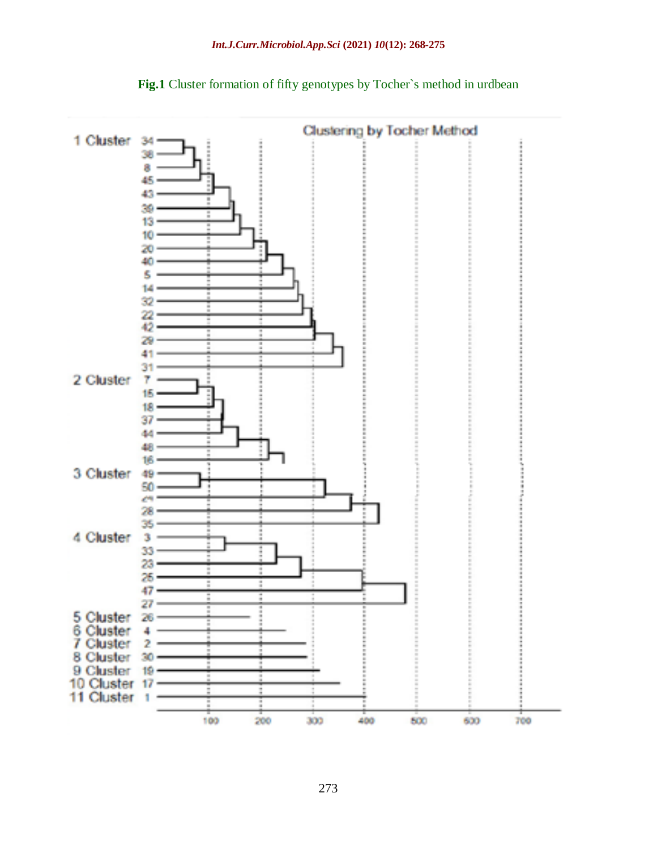

Fig.1 Cluster formation of fifty genotypes by Tocher's method in urdbean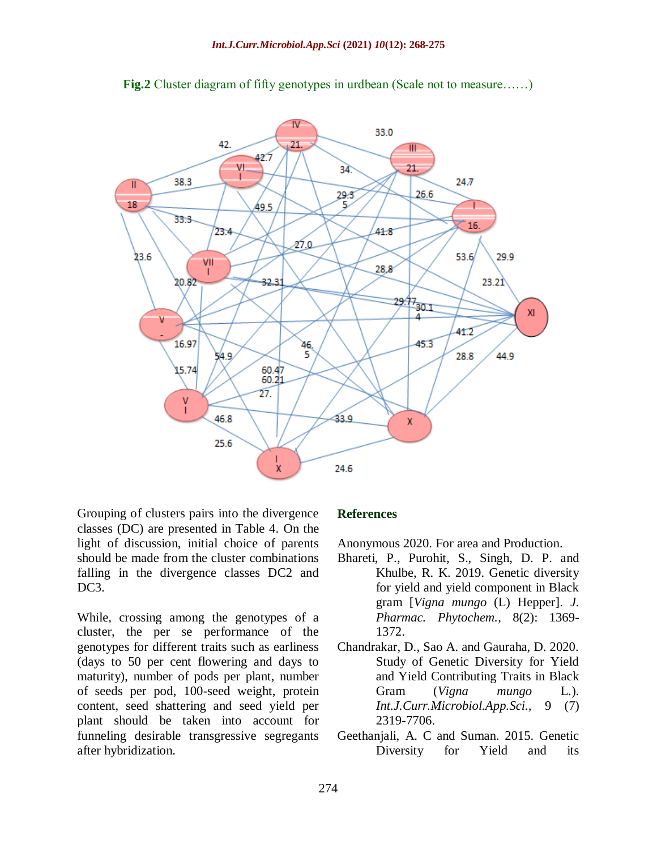

**Fig.2** Cluster diagram of fifty genotypes in urdbean (Scale not to measure.....)

Grouping of clusters pairs into the divergence classes (DC) are presented in Table 4. On the light of discussion, initial choice of parents should be made from the cluster combinations falling in the divergence classes DC2 and DC<sub>3</sub>.

While, crossing among the genotypes of a cluster, the per se performance of the genotypes for different traits such as earliness (days to 50 per cent flowering and days to maturity), number of pods per plant, number of seeds per pod, 100-seed weight, protein content, seed shattering and seed yield per plant should be taken into account for funneling desirable transgressive segregants after hybridization.

#### **References**

Anonymous 2020. For area and Production.

- Bhareti, P., Purohit, S., Singh, D. P. and Khulbe, R. K. 2019. Genetic diversity for yield and yield component in Black gram [*Vigna mungo* (L) Hepper]. *J. Pharmac. Phytochem.*, 8(2): 1369- 1372.
- Chandrakar, D., Sao A. and Gauraha, D. 2020. Study of Genetic Diversity for Yield and Yield Contributing Traits in Black Gram (*Vigna mungo* L*.*)*. Int.J.Curr.Microbiol.App.Sci.,* 9 (7) 2319-7706.
- Geethanjali, A. C and Suman. 2015. Genetic Diversity for Yield and its